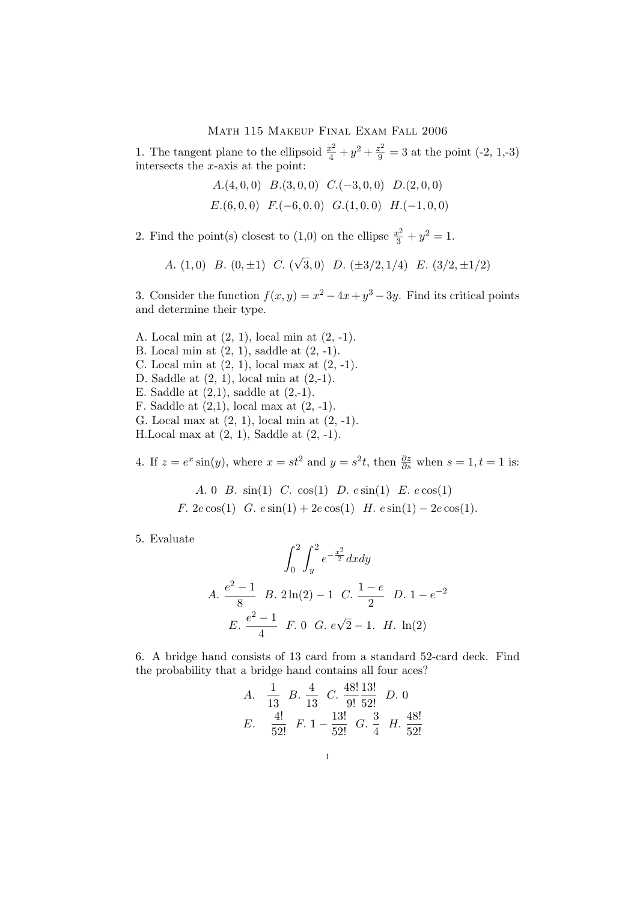## Math 115 Makeup Final Exam Fall 2006

1. The tangent plane to the ellipsoid  $\frac{x^2}{4} + y^2 + \frac{z^2}{9} = 3$  at the point (-2, 1,-3) intersects the x-axis at the point:

- A. $(4, 0, 0)$  B. $(3, 0, 0)$  C. $(-3, 0, 0)$  D. $(2, 0, 0)$
- $E.(6, 0, 0)$   $F.(-6, 0, 0)$   $G.(1, 0, 0)$   $H.(-1, 0, 0)$

2. Find the point(s) closest to (1,0) on the ellipse  $\frac{x^2}{3} + y^2 = 1$ .

A. (1,0) B. (0, 
$$
\pm 1
$$
) C. ( $\sqrt{3}$ ,0) D. ( $\pm 3/2$ , 1/4) E. (3/2,  $\pm 1/2$ )

3. Consider the function  $f(x, y) = x^2 - 4x + y^3 - 3y$ . Find its critical points and determine their type.

A. Local min at (2, 1), local min at (2, -1). B. Local min at (2, 1), saddle at (2, -1). C. Local min at  $(2, 1)$ , local max at  $(2, -1)$ . D. Saddle at (2, 1), local min at (2,-1). E. Saddle at  $(2,1)$ , saddle at  $(2,-1)$ . F. Saddle at  $(2,1)$ , local max at  $(2, -1)$ . G. Local max at (2, 1), local min at (2, -1). H. Local max at  $(2, 1)$ , Saddle at  $(2, -1)$ .

4. If  $z = e^x \sin(y)$ , where  $x = st^2$  and  $y = s^2t$ , then  $\frac{\partial z}{\partial s}$  when  $s = 1, t = 1$  is:

A. 0 B. 
$$
sin(1)
$$
 C.  $cos(1)$  D.  $sin(1)$  E.  $cos(1)$   
F.  $2e cos(1)$  G.  $cos(1) + 2e cos(1)$  H.  $sin(1) - 2e cos(1)$ .

5. Evaluate

$$
\int_0^2 \int_y^2 e^{-\frac{x^2}{2}} dx dy
$$
  
A.  $\frac{e^2 - 1}{8}$  B.  $2 \ln(2) - 1$  C.  $\frac{1 - e}{2}$  D.  $1 - e^{-2}$   
E.  $\frac{e^2 - 1}{4}$  F. 0 G.  $e\sqrt{2} - 1$ . H.  $\ln(2)$ 

6. A bridge hand consists of 13 card from a standard 52-card deck. Find the probability that a bridge hand contains all four aces?

A. 
$$
\frac{1}{13}
$$
 B.  $\frac{4}{13}$  C.  $\frac{48!}{9!} \frac{13!}{52!}$  D. 0  
\nE.  $\frac{4!}{52!}$  F.  $1 - \frac{13!}{52!}$  G.  $\frac{3}{4}$  H.  $\frac{48!}{52!}$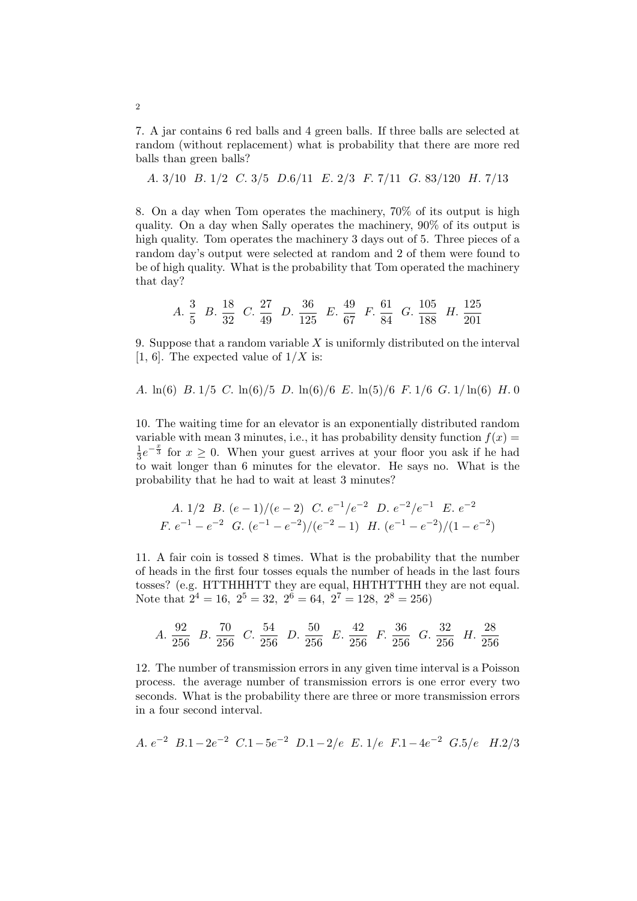7. A jar contains 6 red balls and 4 green balls. If three balls are selected at random (without replacement) what is probability that there are more red balls than green balls?

A. 3/10 B. 1/2 C. 3/5 D.6/11 E. 2/3 F. 7/11 G. 83/120 H. 7/13

8. On a day when Tom operates the machinery, 70% of its output is high quality. On a day when Sally operates the machinery, 90% of its output is high quality. Tom operates the machinery 3 days out of 5. Three pieces of a random day's output were selected at random and 2 of them were found to be of high quality. What is the probability that Tom operated the machinery that day?

A. 
$$
\frac{3}{5}
$$
 B.  $\frac{18}{32}$  C.  $\frac{27}{49}$  D.  $\frac{36}{125}$  E.  $\frac{49}{67}$  F.  $\frac{61}{84}$  G.  $\frac{105}{188}$  H.  $\frac{125}{201}$ 

9. Suppose that a random variable  $X$  is uniformly distributed on the interval [1, 6]. The expected value of  $1/X$  is:

A.  $\ln(6)$  B.  $1/5$  C.  $\ln(6)/5$  D.  $\ln(6)/6$  E.  $\ln(5)/6$  F.  $1/6$  G.  $1/\ln(6)$  H. 0

10. The waiting time for an elevator is an exponentially distributed random variable with mean 3 minutes, i.e., it has probability density function  $f(x) =$ 1  $\frac{1}{3}e^{-\frac{x}{3}}$  for  $x \ge 0$ . When your guest arrives at your floor you ask if he had to wait longer than 6 minutes for the elevator. He says no. What is the probability that he had to wait at least 3 minutes?

A. 1/2 B. 
$$
(e-1)/(e-2)
$$
 C.  $e^{-1}/e^{-2}$  D.  $e^{-2}/e^{-1}$  E.  $e^{-2}$   
\nF.  $e^{-1} - e^{-2}$  G.  $(e^{-1} - e^{-2})/(e^{-2} - 1)$  H.  $(e^{-1} - e^{-2})/(1 - e^{-2})$ 

11. A fair coin is tossed 8 times. What is the probability that the number of heads in the first four tosses equals the number of heads in the last fours tosses? (e.g. HTTHHHTT they are equal, HHTHTTHH they are not equal. Note that  $2^4 = 16$ ,  $2^5 = 32$ ,  $2^6 = 64$ ,  $2^7 = 128$ ,  $2^8 = 256$ )

A. 
$$
\frac{92}{256}
$$
 B.  $\frac{70}{256}$  C.  $\frac{54}{256}$  D.  $\frac{50}{256}$  E.  $\frac{42}{256}$  F.  $\frac{36}{256}$  G.  $\frac{32}{256}$  H.  $\frac{28}{256}$ 

12. The number of transmission errors in any given time interval is a Poisson process. the average number of transmission errors is one error every two seconds. What is the probability there are three or more transmission errors in a four second interval.

A. 
$$
e^{-2}
$$
 B.1-2 $e^{-2}$  C.1-5 $e^{-2}$  D.1-2/ $e$  E. 1/ $e$  F.1-4 $e^{-2}$  G.5/ $e$  H.2/3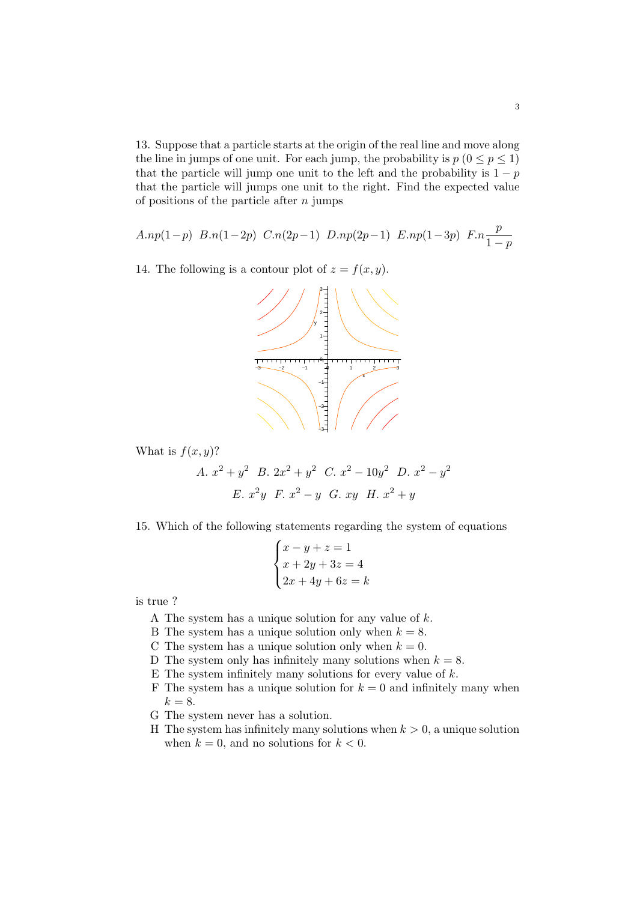13. Suppose that a particle starts at the origin of the real line and move along the line in jumps of one unit. For each jump, the probability is  $p (0 \le p \le 1)$ that the particle will jump one unit to the left and the probability is  $1 - p$ that the particle will jumps one unit to the right. Find the expected value of positions of the particle after  $n$  jumps

$$
A.np(1-p) B.n(1-2p) C.n(2p-1) D.np(2p-1) E.np(1-3p) F.n\frac{p}{1-p}
$$

14. The following is a contour plot of  $z = f(x, y)$ .



What is  $f(x, y)$ ?

A. 
$$
x^2 + y^2
$$
 B.  $2x^2 + y^2$  C.  $x^2 - 10y^2$  D.  $x^2 - y^2$   
E.  $x^2y$  F.  $x^2 - y$  G. xy H.  $x^2 + y$ 

15. Which of the following statements regarding the system of equations  $\overline{a}$ 

$$
\begin{cases}\nx - y + z = 1 \\
x + 2y + 3z = 4 \\
2x + 4y + 6z = k\n\end{cases}
$$

is true ?

- A The system has a unique solution for any value of k.
- B The system has a unique solution only when  $k = 8$ .
- C The system has a unique solution only when  $k = 0$ .
- D The system only has infinitely many solutions when  $k = 8$ .
- E The system infinitely many solutions for every value of  $k$ .
- F The system has a unique solution for  $k = 0$  and infinitely many when  $k = 8$ .
- G The system never has a solution.
- H The system has infinitely many solutions when  $k > 0$ , a unique solution when  $k = 0$ , and no solutions for  $k < 0$ .